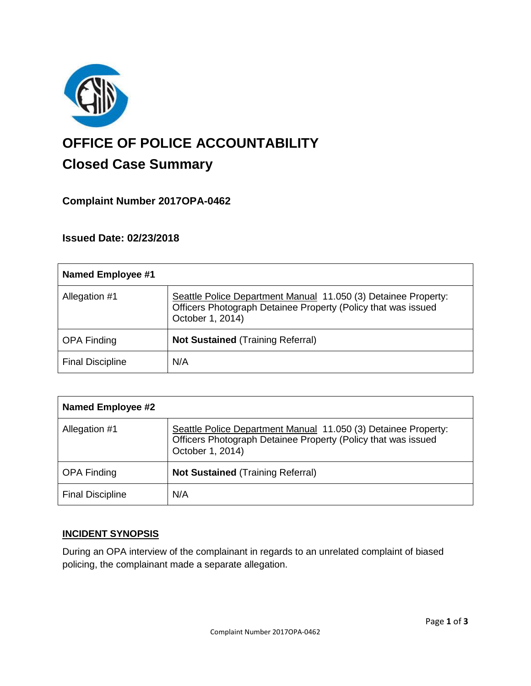

# **OFFICE OF POLICE ACCOUNTABILITY**

# **Closed Case Summary**

## **Complaint Number 2017OPA-0462**

### **Issued Date: 02/23/2018**

| <b>Named Employee #1</b> |                                                                                                                                                     |
|--------------------------|-----------------------------------------------------------------------------------------------------------------------------------------------------|
| Allegation #1            | Seattle Police Department Manual 11.050 (3) Detainee Property:<br>Officers Photograph Detainee Property (Policy that was issued<br>October 1, 2014) |
| <b>OPA Finding</b>       | <b>Not Sustained (Training Referral)</b>                                                                                                            |
| <b>Final Discipline</b>  | N/A                                                                                                                                                 |

| <b>Named Employee #2</b> |                                                                                                                                                     |
|--------------------------|-----------------------------------------------------------------------------------------------------------------------------------------------------|
| Allegation #1            | Seattle Police Department Manual 11.050 (3) Detainee Property:<br>Officers Photograph Detainee Property (Policy that was issued<br>October 1, 2014) |
| <b>OPA Finding</b>       | <b>Not Sustained (Training Referral)</b>                                                                                                            |
| <b>Final Discipline</b>  | N/A                                                                                                                                                 |

#### **INCIDENT SYNOPSIS**

During an OPA interview of the complainant in regards to an unrelated complaint of biased policing, the complainant made a separate allegation.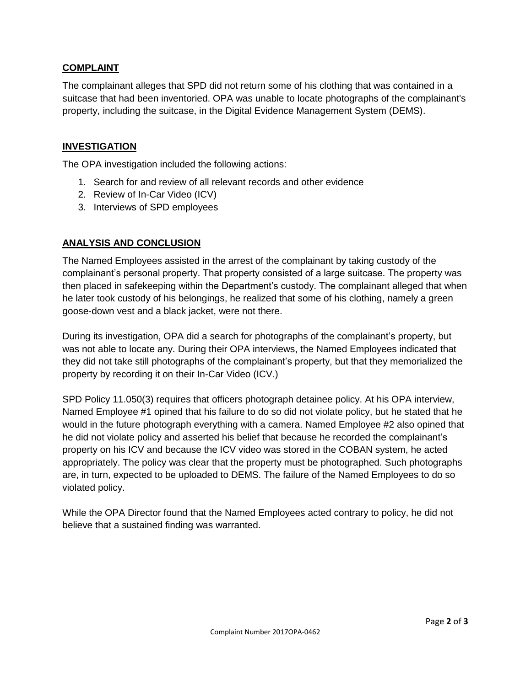#### **COMPLAINT**

The complainant alleges that SPD did not return some of his clothing that was contained in a suitcase that had been inventoried. OPA was unable to locate photographs of the complainant's property, including the suitcase, in the Digital Evidence Management System (DEMS).

#### **INVESTIGATION**

The OPA investigation included the following actions:

- 1. Search for and review of all relevant records and other evidence
- 2. Review of In-Car Video (ICV)
- 3. Interviews of SPD employees

#### **ANALYSIS AND CONCLUSION**

The Named Employees assisted in the arrest of the complainant by taking custody of the complainant's personal property. That property consisted of a large suitcase. The property was then placed in safekeeping within the Department's custody. The complainant alleged that when he later took custody of his belongings, he realized that some of his clothing, namely a green goose-down vest and a black jacket, were not there.

During its investigation, OPA did a search for photographs of the complainant's property, but was not able to locate any. During their OPA interviews, the Named Employees indicated that they did not take still photographs of the complainant's property, but that they memorialized the property by recording it on their In-Car Video (ICV.)

SPD Policy 11.050(3) requires that officers photograph detainee policy. At his OPA interview, Named Employee #1 opined that his failure to do so did not violate policy, but he stated that he would in the future photograph everything with a camera. Named Employee #2 also opined that he did not violate policy and asserted his belief that because he recorded the complainant's property on his ICV and because the ICV video was stored in the COBAN system, he acted appropriately. The policy was clear that the property must be photographed. Such photographs are, in turn, expected to be uploaded to DEMS. The failure of the Named Employees to do so violated policy.

While the OPA Director found that the Named Employees acted contrary to policy, he did not believe that a sustained finding was warranted.